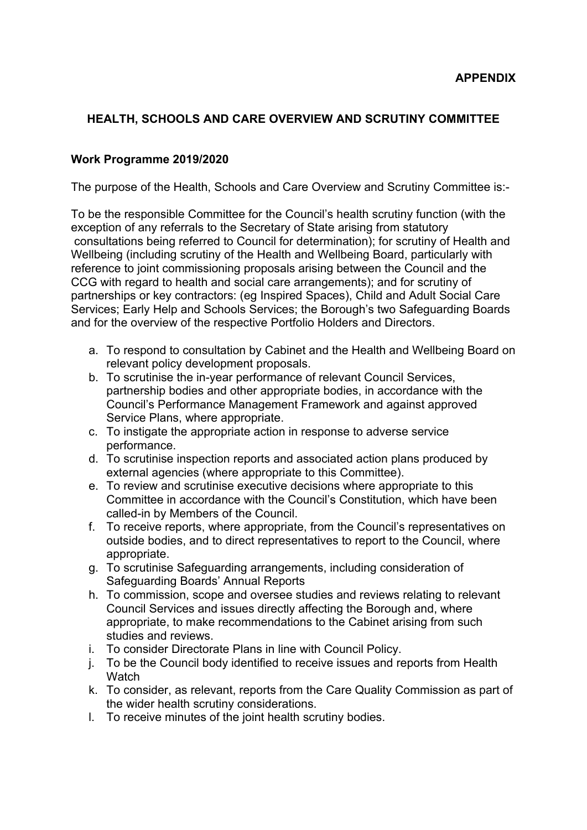### **HEALTH, SCHOOLS AND CARE OVERVIEW AND SCRUTINY COMMITTEE**

#### **Work Programme 2019/2020**

The purpose of the Health, Schools and Care Overview and Scrutiny Committee is:-

To be the responsible Committee for the Council's health scrutiny function (with the exception of any referrals to the Secretary of State arising from statutory consultations being referred to Council for determination); for scrutiny of Health and Wellbeing (including scrutiny of the Health and Wellbeing Board, particularly with reference to joint commissioning proposals arising between the Council and the CCG with regard to health and social care arrangements); and for scrutiny of partnerships or key contractors: (eg Inspired Spaces), Child and Adult Social Care Services; Early Help and Schools Services; the Borough's two Safeguarding Boards and for the overview of the respective Portfolio Holders and Directors.

- a. To respond to consultation by Cabinet and the Health and Wellbeing Board on relevant policy development proposals.
- b. To scrutinise the in-year performance of relevant Council Services, partnership bodies and other appropriate bodies, in accordance with the Council's Performance Management Framework and against approved Service Plans, where appropriate.
- c. To instigate the appropriate action in response to adverse service performance.
- d. To scrutinise inspection reports and associated action plans produced by external agencies (where appropriate to this Committee).
- e. To review and scrutinise executive decisions where appropriate to this Committee in accordance with the Council's Constitution, which have been called-in by Members of the Council.
- f. To receive reports, where appropriate, from the Council's representatives on outside bodies, and to direct representatives to report to the Council, where appropriate.
- g. To scrutinise Safeguarding arrangements, including consideration of Safeguarding Boards' Annual Reports
- h. To commission, scope and oversee studies and reviews relating to relevant Council Services and issues directly affecting the Borough and, where appropriate, to make recommendations to the Cabinet arising from such studies and reviews.
- i. To consider Directorate Plans in line with Council Policy.
- j. To be the Council body identified to receive issues and reports from Health **Watch**
- k. To consider, as relevant, reports from the Care Quality Commission as part of the wider health scrutiny considerations.
- l. To receive minutes of the joint health scrutiny bodies.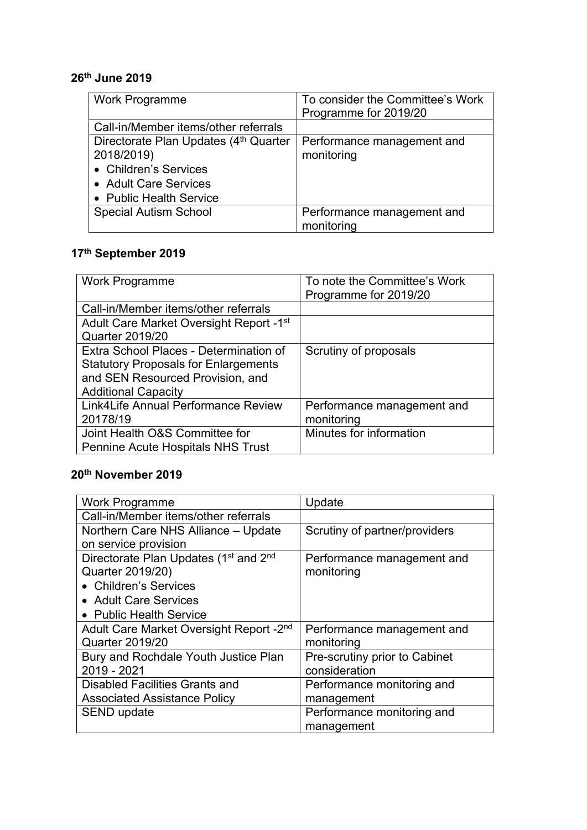## **26th June 2019**

| <b>Work Programme</b>                             | To consider the Committee's Work |
|---------------------------------------------------|----------------------------------|
|                                                   | Programme for 2019/20            |
| Call-in/Member items/other referrals              |                                  |
| Directorate Plan Updates (4 <sup>th</sup> Quarter | Performance management and       |
| 2018/2019)                                        | monitoring                       |
| • Children's Services                             |                                  |
| • Adult Care Services                             |                                  |
| • Public Health Service                           |                                  |
| <b>Special Autism School</b>                      | Performance management and       |
|                                                   | monitoring                       |

# **17th September 2019**

| Work Programme                              | To note the Committee's Work<br>Programme for 2019/20 |
|---------------------------------------------|-------------------------------------------------------|
| Call-in/Member items/other referrals        |                                                       |
| Adult Care Market Oversight Report - 1st    |                                                       |
| Quarter 2019/20                             |                                                       |
| Extra School Places - Determination of      | Scrutiny of proposals                                 |
| <b>Statutory Proposals for Enlargements</b> |                                                       |
| and SEN Resourced Provision, and            |                                                       |
| <b>Additional Capacity</b>                  |                                                       |
| Link4Life Annual Performance Review         | Performance management and                            |
| 20178/19                                    | monitoring                                            |
| Joint Health O&S Committee for              | Minutes for information                               |
| Pennine Acute Hospitals NHS Trust           |                                                       |

# **20th November 2019**

| <b>Work Programme</b>                                         | Update                        |
|---------------------------------------------------------------|-------------------------------|
| Call-in/Member items/other referrals                          |                               |
| Northern Care NHS Alliance - Update                           | Scrutiny of partner/providers |
| on service provision                                          |                               |
| Directorate Plan Updates (1 <sup>st</sup> and 2 <sup>nd</sup> | Performance management and    |
| Quarter 2019/20)                                              | monitoring                    |
| • Children's Services                                         |                               |
| • Adult Care Services                                         |                               |
| • Public Health Service                                       |                               |
| Adult Care Market Oversight Report - 2 <sup>nd</sup>          | Performance management and    |
| <b>Quarter 2019/20</b>                                        | monitoring                    |
| Bury and Rochdale Youth Justice Plan                          | Pre-scrutiny prior to Cabinet |
| 2019 - 2021                                                   | consideration                 |
| Disabled Facilities Grants and                                | Performance monitoring and    |
| <b>Associated Assistance Policy</b>                           | management                    |
| SEND update                                                   | Performance monitoring and    |
|                                                               | management                    |